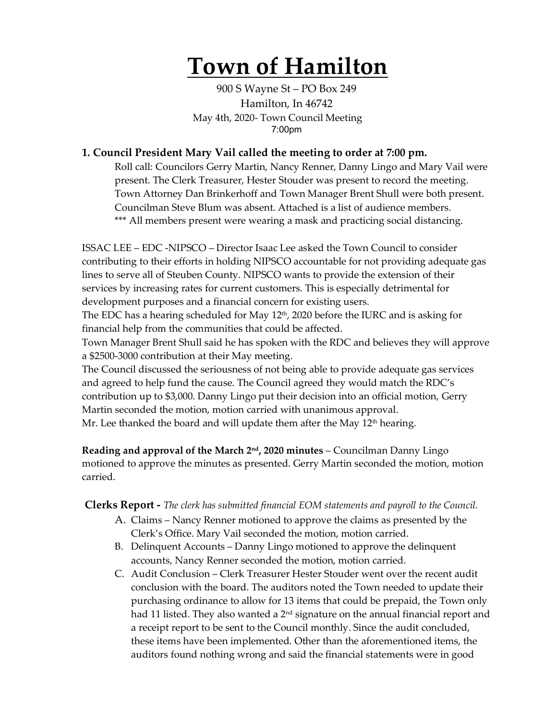# **Town of Hamilton**

900 S Wayne St – PO Box 249 Hamilton, In 46742 May 4th, 2020- Town Council Meeting 7:00pm

# **1. Council President Mary Vail called the meeting to order at 7:00 pm.**

Roll call: Councilors Gerry Martin, Nancy Renner, Danny Lingo and Mary Vail were present. The Clerk Treasurer, Hester Stouder was present to record the meeting. Town Attorney Dan Brinkerhoff and Town Manager Brent Shull were both present. Councilman Steve Blum was absent. Attached is a list of audience members. \*\*\* All members present were wearing a mask and practicing social distancing.

ISSAC LEE – EDC -NIPSCO – Director Isaac Lee asked the Town Council to consider contributing to their efforts in holding NIPSCO accountable for not providing adequate gas lines to serve all of Steuben County. NIPSCO wants to provide the extension of their services by increasing rates for current customers. This is especially detrimental for development purposes and a financial concern for existing users.

The EDC has a hearing scheduled for May 12<sup>th</sup>, 2020 before the IURC and is asking for financial help from the communities that could be affected.

Town Manager Brent Shull said he has spoken with the RDC and believes they will approve a \$2500-3000 contribution at their May meeting.

The Council discussed the seriousness of not being able to provide adequate gas services and agreed to help fund the cause. The Council agreed they would match the RDC's contribution up to \$3,000. Danny Lingo put their decision into an official motion, Gerry Martin seconded the motion, motion carried with unanimous approval. Mr. Lee thanked the board and will update them after the May  $12<sup>th</sup>$  hearing.

**Reading and approval of the March 2nd, 2020 minutes** – Councilman Danny Lingo motioned to approve the minutes as presented. Gerry Martin seconded the motion, motion carried.

**Clerks Report -** *The clerk has submitted financial EOM statements and payroll to the Council.* 

- A. Claims Nancy Renner motioned to approve the claims as presented by the Clerk's Office. Mary Vail seconded the motion, motion carried.
- B. Delinquent Accounts Danny Lingo motioned to approve the delinquent accounts, Nancy Renner seconded the motion, motion carried.
- C. Audit Conclusion Clerk Treasurer Hester Stouder went over the recent audit conclusion with the board. The auditors noted the Town needed to update their purchasing ordinance to allow for 13 items that could be prepaid, the Town only had 11 listed. They also wanted a  $2<sup>nd</sup>$  signature on the annual financial report and a receipt report to be sent to the Council monthly. Since the audit concluded, these items have been implemented. Other than the aforementioned items, the auditors found nothing wrong and said the financial statements were in good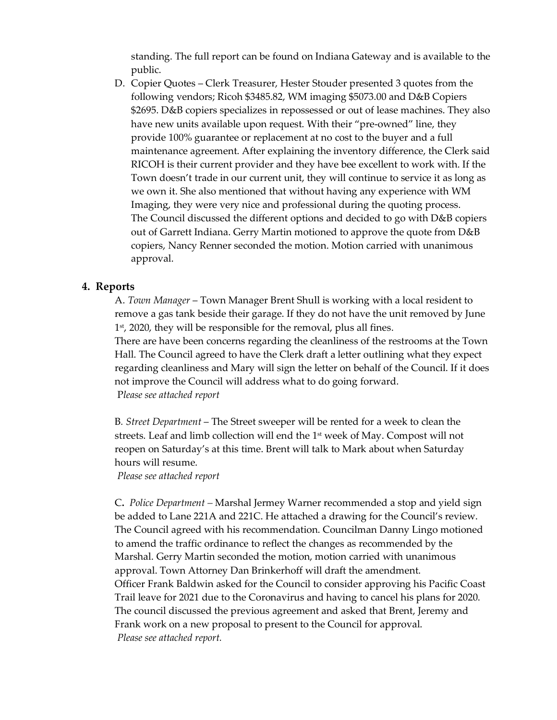standing. The full report can be found on Indiana Gateway and is available to the public.

D. Copier Quotes – Clerk Treasurer, Hester Stouder presented 3 quotes from the following vendors; Ricoh \$3485.82, WM imaging \$5073.00 and D&B Copiers \$2695. D&B copiers specializes in repossessed or out of lease machines. They also have new units available upon request. With their "pre-owned" line, they provide 100% guarantee or replacement at no cost to the buyer and a full maintenance agreement. After explaining the inventory difference, the Clerk said RICOH is their current provider and they have bee excellent to work with. If the Town doesn't trade in our current unit, they will continue to service it as long as we own it. She also mentioned that without having any experience with WM Imaging, they were very nice and professional during the quoting process. The Council discussed the different options and decided to go with D&B copiers out of Garrett Indiana. Gerry Martin motioned to approve the quote from D&B copiers, Nancy Renner seconded the motion. Motion carried with unanimous approval.

#### **4. Reports**

A. *Town Manager* – Town Manager Brent Shull is working with a local resident to remove a gas tank beside their garage. If they do not have the unit removed by June 1<sup>st</sup>, 2020, they will be responsible for the removal, plus all fines. There are have been concerns regarding the cleanliness of the restrooms at the Town Hall. The Council agreed to have the Clerk draft a letter outlining what they expect regarding cleanliness and Mary will sign the letter on behalf of the Council. If it does not improve the Council will address what to do going forward. P*lease see attached report*

B*. Street Department* – The Street sweeper will be rented for a week to clean the streets. Leaf and limb collection will end the 1st week of May. Compost will not reopen on Saturday's at this time. Brent will talk to Mark about when Saturday hours will resume.

*Please see attached report*

C**.** *Police Department –* Marshal Jermey Warner recommended a stop and yield sign be added to Lane 221A and 221C. He attached a drawing for the Council's review. The Council agreed with his recommendation. Councilman Danny Lingo motioned to amend the traffic ordinance to reflect the changes as recommended by the Marshal. Gerry Martin seconded the motion, motion carried with unanimous approval. Town Attorney Dan Brinkerhoff will draft the amendment. Officer Frank Baldwin asked for the Council to consider approving his Pacific Coast Trail leave for 2021 due to the Coronavirus and having to cancel his plans for 2020. The council discussed the previous agreement and asked that Brent, Jeremy and Frank work on a new proposal to present to the Council for approval. *Please see attached report.*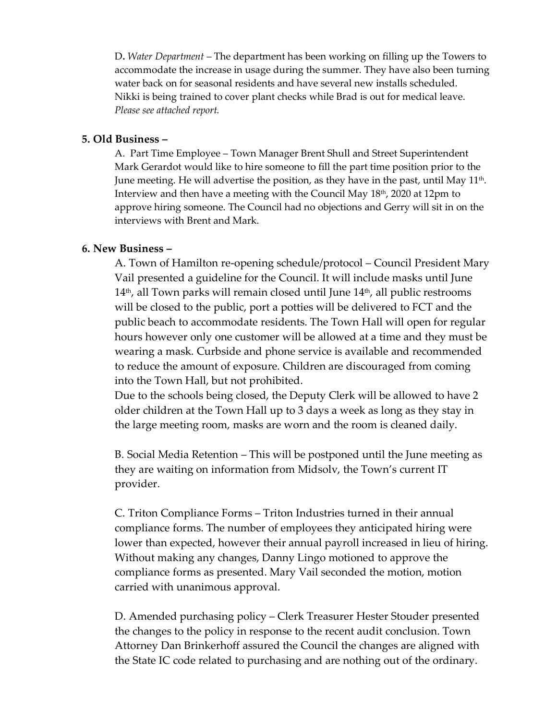D**.** *Water Department* – The department has been working on filling up the Towers to accommodate the increase in usage during the summer. They have also been turning water back on for seasonal residents and have several new installs scheduled. Nikki is being trained to cover plant checks while Brad is out for medical leave. *Please see attached report.* 

### **5. Old Business –**

A. Part Time Employee – Town Manager Brent Shull and Street Superintendent Mark Gerardot would like to hire someone to fill the part time position prior to the June meeting. He will advertise the position, as they have in the past, until May  $11<sup>th</sup>$ . Interview and then have a meeting with the Council May 18<sup>th</sup>, 2020 at 12pm to approve hiring someone. The Council had no objections and Gerry will sit in on the interviews with Brent and Mark.

## **6. New Business –**

A. Town of Hamilton re-opening schedule/protocol – Council President Mary Vail presented a guideline for the Council. It will include masks until June  $14<sup>th</sup>$ , all Town parks will remain closed until June  $14<sup>th</sup>$ , all public restrooms will be closed to the public, port a potties will be delivered to FCT and the public beach to accommodate residents. The Town Hall will open for regular hours however only one customer will be allowed at a time and they must be wearing a mask. Curbside and phone service is available and recommended to reduce the amount of exposure. Children are discouraged from coming into the Town Hall, but not prohibited.

Due to the schools being closed, the Deputy Clerk will be allowed to have 2 older children at the Town Hall up to 3 days a week as long as they stay in the large meeting room, masks are worn and the room is cleaned daily.

B. Social Media Retention – This will be postponed until the June meeting as they are waiting on information from Midsolv, the Town's current IT provider.

C. Triton Compliance Forms – Triton Industries turned in their annual compliance forms. The number of employees they anticipated hiring were lower than expected, however their annual payroll increased in lieu of hiring. Without making any changes, Danny Lingo motioned to approve the compliance forms as presented. Mary Vail seconded the motion, motion carried with unanimous approval.

D. Amended purchasing policy – Clerk Treasurer Hester Stouder presented the changes to the policy in response to the recent audit conclusion. Town Attorney Dan Brinkerhoff assured the Council the changes are aligned with the State IC code related to purchasing and are nothing out of the ordinary.